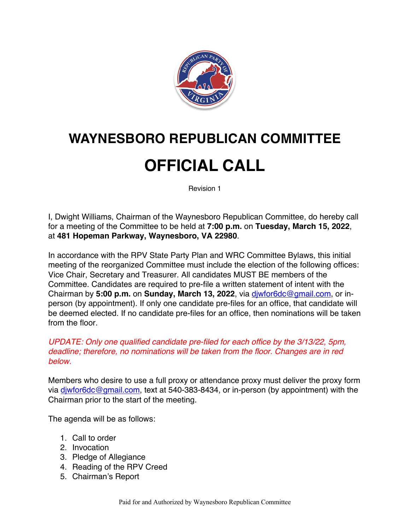

## **WAYNESBORO REPUBLICAN COMMITTEE**

## **OFFICIAL CALL**

Revision 1

I, Dwight Williams, Chairman of the Waynesboro Republican Committee, do hereby call for a meeting of the Committee to be held at **7:00 p.m.** on **Tuesday, March 15, 2022**, at **481 Hopeman Parkway, Waynesboro, VA 22980**.

In accordance with the RPV State Party Plan and WRC Committee Bylaws, this initial meeting of the reorganized Committee must include the election of the following offices: Vice Chair, Secretary and Treasurer. All candidates MUST BE members of the Committee. Candidates are required to pre-file a written statement of intent with the Chairman by **5:00 p.m.** on **Sunday, March 13, 2022**, via djwfor6dc@gmail.com, or inperson (by appointment). If only one candidate pre-files for an office, that candidate will be deemed elected. If no candidate pre-files for an office, then nominations will be taken from the floor.

*UPDATE: Only one qualified candidate pre-filed for each office by the 3/13/22, 5pm, deadline; therefore, no nominations will be taken from the floor. Changes are in red below.*

Members who desire to use a full proxy or attendance proxy must deliver the proxy form via diwfor6dc@gmail.com, text at 540-383-8434, or in-person (by appointment) with the Chairman prior to the start of the meeting.

The agenda will be as follows:

- 1. Call to order
- 2. Invocation
- 3. Pledge of Allegiance
- 4. Reading of the RPV Creed
- 5. Chairman's Report